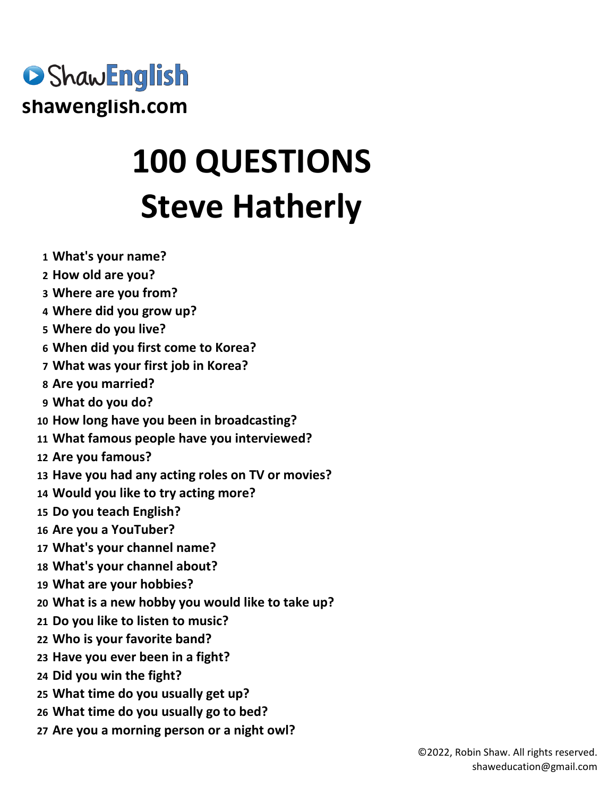

## **100 QUESTIONS Steve Hatherly**

- **What's your name?**
- **How old are you?**
- **Where are you from?**
- **Where did you grow up?**
- **Where do you live?**
- **When did you first come to Korea?**
- **What was your first job in Korea?**
- **Are you married?**
- **What do you do?**
- **How long have you been in broadcasting?**
- **What famous people have you interviewed?**
- **Are you famous?**
- **Have you had any acting roles on TV or movies?**
- **Would you like to try acting more?**
- **Do you teach English?**
- **Are you a YouTuber?**
- **What's your channel name?**
- **What's your channel about?**
- **What are your hobbies?**
- **What is a new hobby you would like to take up?**
- **Do you like to listen to music?**
- **Who is your favorite band?**
- **Have you ever been in a fight?**
- **Did you win the fight?**
- **What time do you usually get up?**
- **What time do you usually go to bed?**
- **Are you a morning person or a night owl?**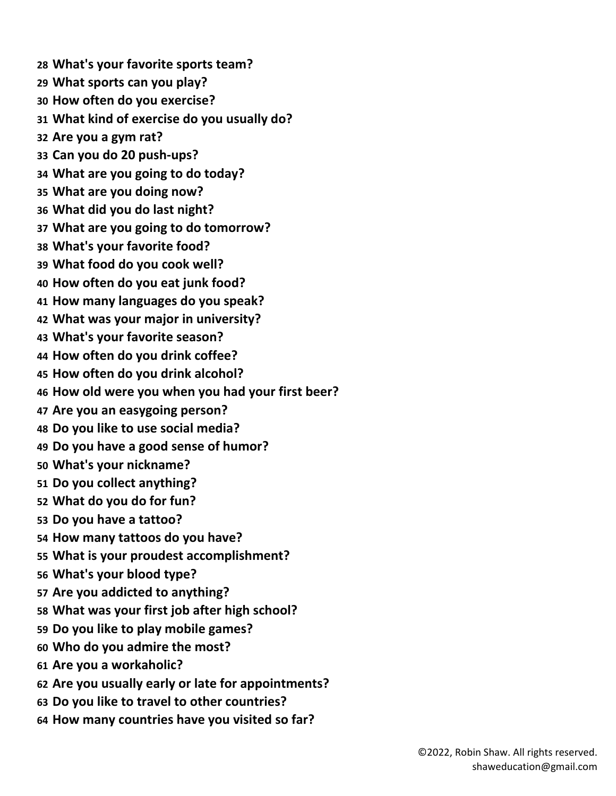**What's your favorite sports team? What sports can you play? How often do you exercise? What kind of exercise do you usually do? Are you a gym rat? Can you do 20 push-ups? What are you going to do today? What are you doing now? What did you do last night? What are you going to do tomorrow? What's your favorite food? What food do you cook well? How often do you eat junk food? How many languages do you speak? What was your major in university? What's your favorite season? How often do you drink coffee? How often do you drink alcohol? How old were you when you had your first beer? Are you an easygoing person? Do you like to use social media? Do you have a good sense of humor? What's your nickname? Do you collect anything? What do you do for fun? Do you have a tattoo? How many tattoos do you have? What is your proudest accomplishment? What's your blood type? Are you addicted to anything? What was your first job after high school? Do you like to play mobile games? Who do you admire the most? Are you a workaholic? Are you usually early or late for appointments? Do you like to travel to other countries? How many countries have you visited so far?**